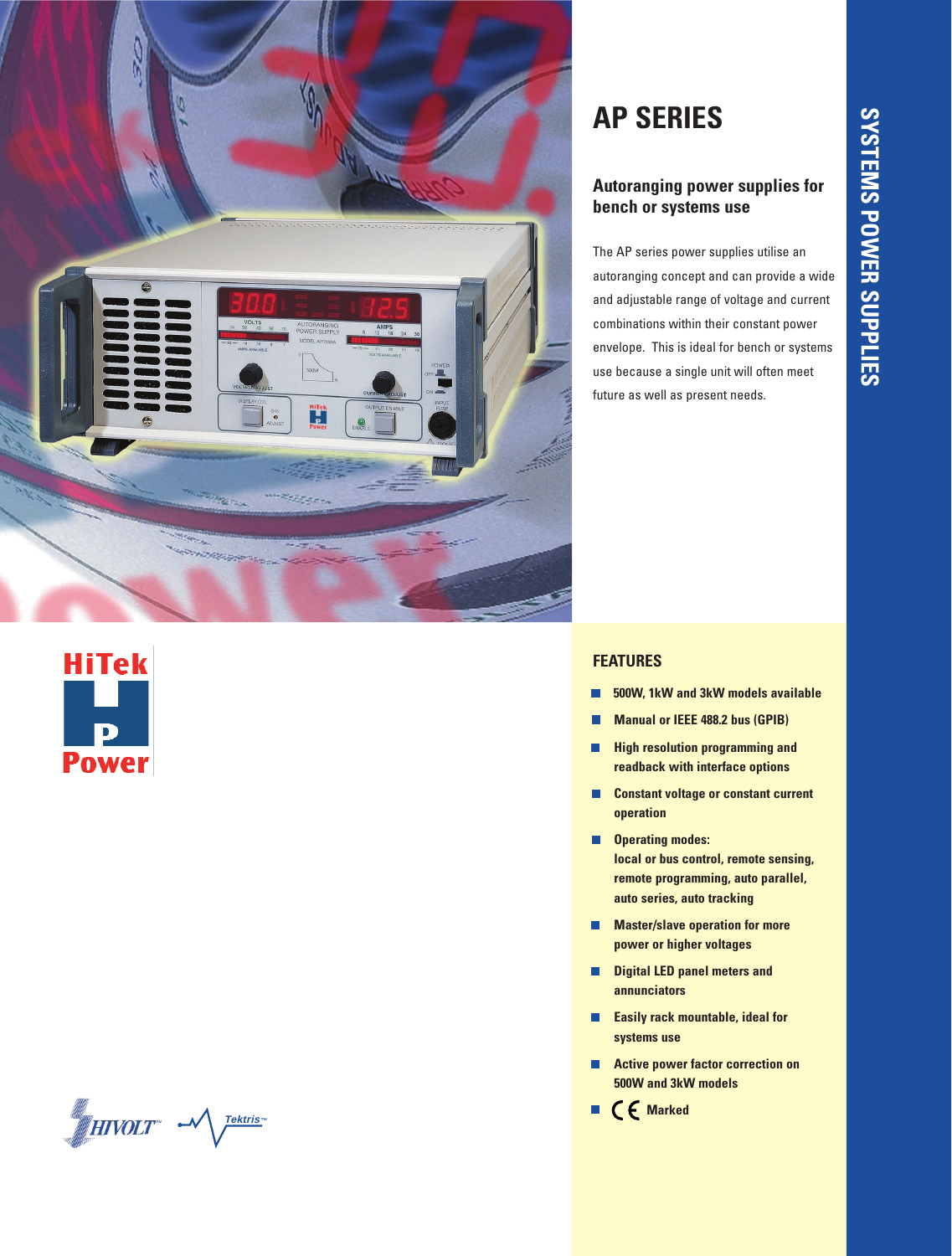





# **AP SERIES**

# **Autoranging power supplies for bench or systems use**

The AP series power supplies utilise an autoranging concept and can provide a wide and adjustable range of voltage and current combinations within their constant power envelope. This is ideal for bench or systems use because a single unit will often meet future as well as present needs.

# **FEATURES**

- **500W, 1kW and 3kW models available** г
- **Manual or IEEE 488.2 bus (GPIB)**
- П **High resolution programming and readback with interface options**
- **Constant voltage or constant current**   $\overline{\phantom{a}}$ **operation**
- **Operating modes:**  $\Box$ **local or bus control, remote sensing, remote programming, auto parallel, auto series, auto tracking**
- $\overline{\phantom{a}}$ **Master/slave operation for more power or higher voltages**
- П **Digital LED panel meters and annunciators**
- П **Easily rack mountable, ideal for systems use**
- **Active power factor correction on**   $\Box$ **500W and 3kW models**
- **Marked**г

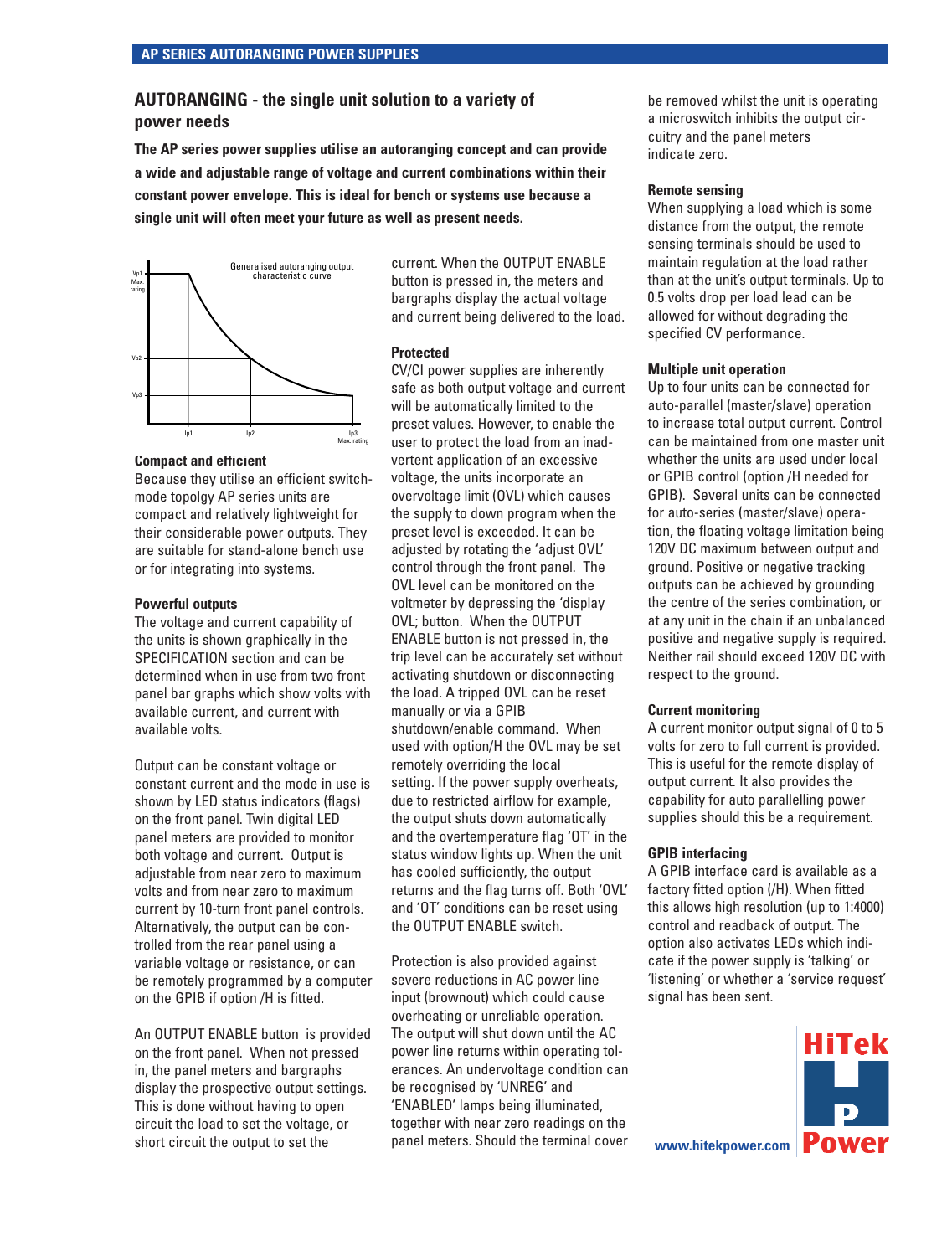# **AUTORANGING - the single unit solution to a variety of power needs**

**The AP series power supplies utilise an autoranging concept and can provide a wide and adjustable range of voltage and current combinations within their constant power envelope. This is ideal for bench or systems use because a single unit will often meet your future as well as present needs.**



#### **Compact and efficient**

Because they utilise an efficient switchmode topolgy AP series units are compact and relatively lightweight for their considerable power outputs. They are suitable for stand-alone bench use or for integrating into systems.

#### **Powerful outputs**

The voltage and current capability of the units is shown graphically in the SPECIFICATION section and can be determined when in use from two front panel bar graphs which show volts with available current, and current with available volts.

Output can be constant voltage or constant current and the mode in use is shown by LED status indicators (flags) on the front panel. Twin digital LED panel meters are provided to monitor both voltage and current. Output is adjustable from near zero to maximum volts and from near zero to maximum current by 10-turn front panel controls. Alternatively, the output can be controlled from the rear panel using a variable voltage or resistance, or can be remotely programmed by a computer on the GPIB if option /H is fitted.

An OUTPUT ENABLE button is provided on the front panel. When not pressed in, the panel meters and bargraphs display the prospective output settings. This is done without having to open circuit the load to set the voltage, or short circuit the output to set the

current. When the OUTPUT ENABLE button is pressed in, the meters and bargraphs display the actual voltage and current being delivered to the load.

#### **Protected**

CV/CI power supplies are inherently safe as both output voltage and current will be automatically limited to the preset values. However, to enable the user to protect the load from an inadvertent application of an excessive voltage, the units incorporate an overvoltage limit (OVL) which causes the supply to down program when the preset level is exceeded. It can be adjusted by rotating the 'adjust OVL' control through the front panel. The OVL level can be monitored on the voltmeter by depressing the 'display OVL; button. When the OUTPUT ENABLE button is not pressed in, the trip level can be accurately set without activating shutdown or disconnecting the load. A tripped OVL can be reset manually or via a GPIB shutdown/enable command. When used with option/H the OVL may be set remotely overriding the local setting. If the power supply overheats, due to restricted airflow for example, the output shuts down automatically and the overtemperature flag 'OT' in the status window lights up. When the unit has cooled sufficiently, the output returns and the flag turns off. Both 'OVL' and 'OT' conditions can be reset using the OUTPUT ENABLE switch.

Protection is also provided against severe reductions in AC power line input (brownout) which could cause overheating or unreliable operation. The output will shut down until the AC power line returns within operating tolerances. An undervoltage condition can be recognised by 'UNREG' and 'ENABLED' lamps being illuminated, together with near zero readings on the panel meters. Should the terminal cover

be removed whilst the unit is operating a microswitch inhibits the output circuitry and the panel meters indicate zero.

#### **Remote sensing**

When supplying a load which is some distance from the output, the remote sensing terminals should be used to maintain regulation at the load rather than at the unit's output terminals. Up to 0.5 volts drop per load lead can be allowed for without degrading the specified CV performance.

#### **Multiple unit operation**

Up to four units can be connected for auto-parallel (master/slave) operation to increase total output current. Control can be maintained from one master unit whether the units are used under local or GPIB control (option /H needed for GPIB). Several units can be connected for auto-series (master/slave) operation, the floating voltage limitation being 120V DC maximum between output and ground. Positive or negative tracking outputs can be achieved by grounding the centre of the series combination, or at any unit in the chain if an unbalanced positive and negative supply is required. Neither rail should exceed 120V DC with respect to the ground.

#### **Current monitoring**

A current monitor output signal of 0 to 5 volts for zero to full current is provided. This is useful for the remote display of output current. It also provides the capability for auto parallelling power supplies should this be a requirement.

#### **GPIB interfacing**

A GPIB interface card is available as a factory fitted option (/H). When fitted this allows high resolution (up to 1:4000) control and readback of output. The option also activates LEDs which indicate if the power supply is 'talking' or 'listening' or whether a 'service request' signal has been sent.

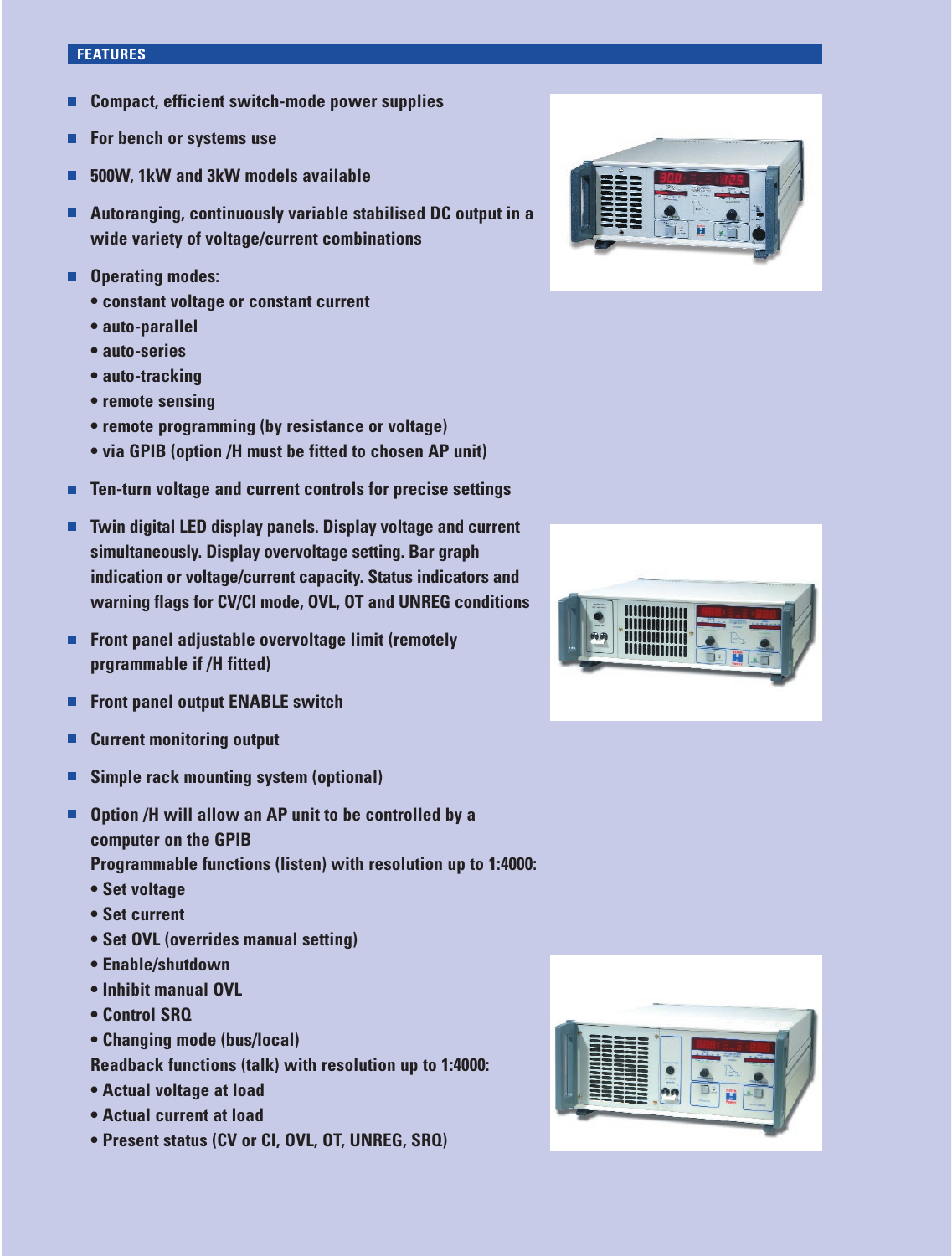#### **FEATURES**

- **Compact, efficient switch-mode power supplies** г
- $\blacksquare$ **For bench or systems use**
- **500W, 1kW and 3kW models available** г
- **Autoranging, continuously variable stabilised DC output in a wide variety of voltage/current combinations**
- **Operating modes:**
	- **constant voltage or constant current**
	- **auto-parallel**
	- **auto-series**
	- **auto-tracking**
	- **remote sensing**
	- **remote programming (by resistance or voltage)**
	- **via GPIB (option /H must be fitted to chosen AP unit)**
- п **Ten-turn voltage and current controls for precise settings**
- **Twin digital LED display panels. Display voltage and current**   $\blacksquare$ **simultaneously. Display overvoltage setting. Bar graph indication or voltage/current capacity. Status indicators and warning flags for CV/CI mode, OVL, OT and UNREG conditions**
- **Front panel adjustable overvoltage limit (remotely prgrammable if /H fitted)**
- **Front panel output ENABLE switch**  $\blacksquare$
- $\blacksquare$ **Current monitoring output**
- **Simple rack mounting system (optional)** П
- **Option /H will allow an AP unit to be controlled by a**   $\blacksquare$ **computer on the GPIB**
	- **Programmable functions (listen) with resolution up to 1:4000:**
	- **Set voltage**
	- **Set current**
	- **Set OVL (overrides manual setting)**
	- **Enable/shutdown**
	- **Inhibit manual OVL**
	- **Control SRQ**
	- **Changing mode (bus/local)**
	- **Readback functions (talk) with resolution up to 1:4000:**
	- **Actual voltage at load**
	- **Actual current at load**
	- **Present status (CV or CI, OVL, OT, UNREG, SRQ)**





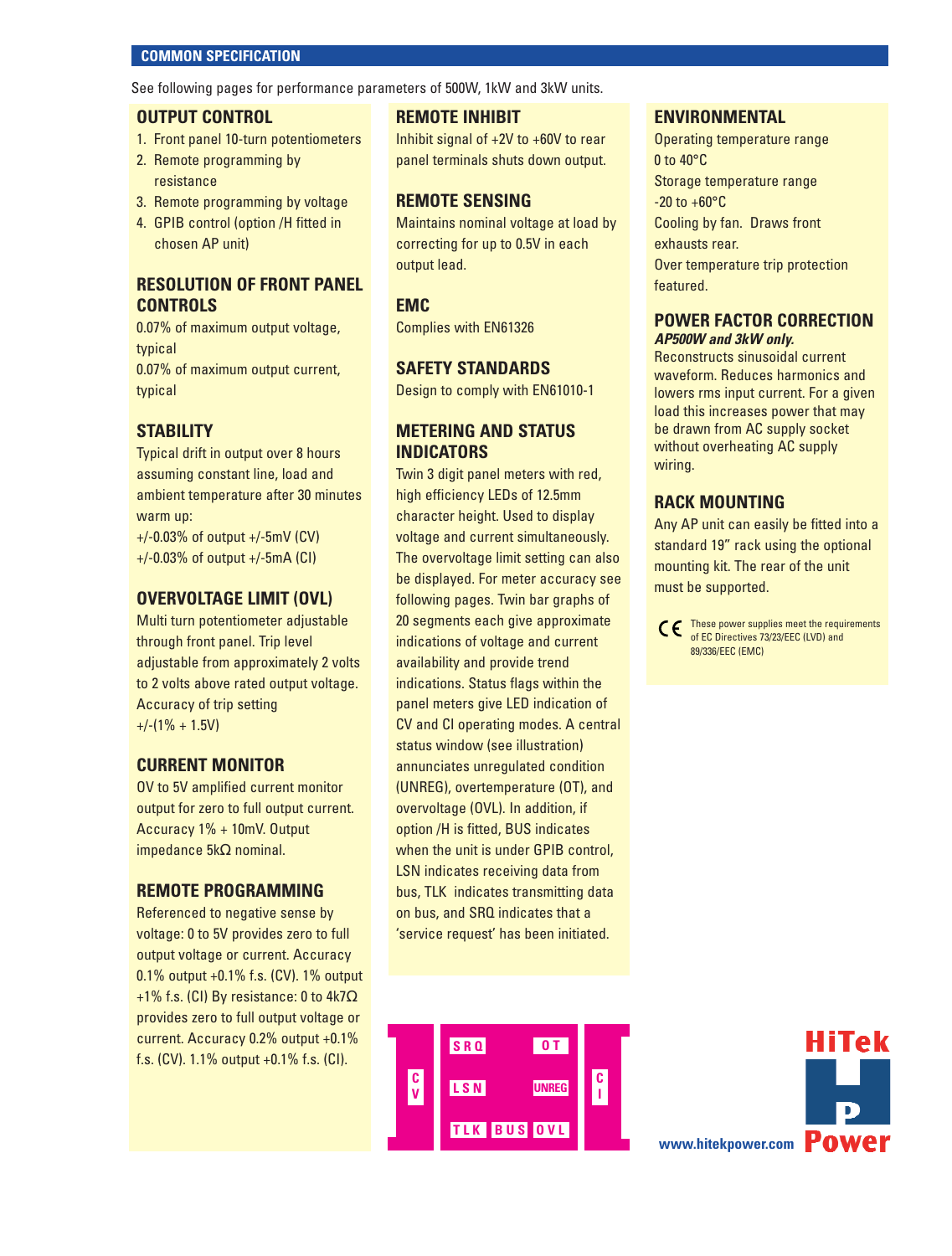#### **COMMON SPECIFICATION**

See following pages for performance parameters of 500W, 1kW and 3kW units.

#### **OUTPUT CONTROL**

- 1. Front panel 10-turn potentiometers
- 2. Remote programming by resistance
- 3. Remote programming by voltage
- 4. GPIB control (option /H fitted in chosen AP unit)

# **RESOLUTION OF FRONT PANEL CONTROLS**

0.07% of maximum output voltage, typical 0.07% of maximum output current, typical

# **STABILITY**

Typical drift in output over 8 hours assuming constant line, load and ambient temperature after 30 minutes warm up:

+/-0.03% of output +/-5mV (CV) +/-0.03% of output +/-5mA (CI)

#### **OVERVOLTAGE LIMIT (OVL)**

Multi turn potentiometer adjustable through front panel. Trip level adjustable from approximately 2 volts to 2 volts above rated output voltage. Accuracy of trip setting  $+/-(1\% + 1.5V)$ 

#### **CURRENT MONITOR**

OV to 5V amplified current monitor output for zero to full output current. Accuracy 1% + 10mV. Output impedance 5kΩ nominal.

#### **REMOTE PROGRAMMING**

Referenced to negative sense by voltage: 0 to 5V provides zero to full output voltage or current. Accuracy 0.1% output +0.1% f.s. (CV). 1% output +1% f.s. (CI) By resistance: 0 to  $4k7\Omega$ provides zero to full output voltage or current. Accuracy 0.2% output +0.1% f.s. (CV). 1.1% output +0.1% f.s. (CI).

#### **REMOTE INHIBIT**

Inhibit signal of +2V to +60V to rear panel terminals shuts down output.

#### **REMOTE SENSING**

Maintains nominal voltage at load by correcting for up to 0.5V in each output lead.

#### **EMC**

Complies with EN61326

#### **SAFETY STANDARDS**

Design to comply with EN61010-1

# **METERING AND STATUS INDICATORS**

Twin 3 digit panel meters with red, high efficiency LEDs of 12.5mm character height. Used to display voltage and current simultaneously. The overvoltage limit setting can also be displayed. For meter accuracy see following pages. Twin bar graphs of 20 segments each give approximate indications of voltage and current availability and provide trend indications. Status flags within the panel meters give LED indication of CV and CI operating modes. A central status window (see illustration) annunciates unregulated condition (UNREG), overtemperature (OT), and overvoltage (OVL). In addition, if option /H is fitted, BUS indicates when the unit is under GPIB control, LSN indicates receiving data from bus, TLK indicates transmitting data on bus, and SRQ indicates that a 'service request' has been initiated.

#### **ENVIRONMENTAL**

Operating temperature range 0 to 40°C Storage temperature range  $-20$  to  $+60^{\circ}$ C Cooling by fan. Draws front exhausts rear. Over temperature trip protection featured.

#### **POWER FACTOR CORRECTION AP500W and 3kW only.**

Reconstructs sinusoidal current waveform. Reduces harmonics and lowers rms input current. For a given load this increases power that may be drawn from AC supply socket without overheating AC supply wiring.

#### **RACK MOUNTING**

Any AP unit can easily be fitted into a standard 19" rack using the optional mounting kit. The rear of the unit must be supported.

CC These power supplies meet the requirements of EC Directives 73/23/EEC (LVD) and 89/336/EEC (EMC)



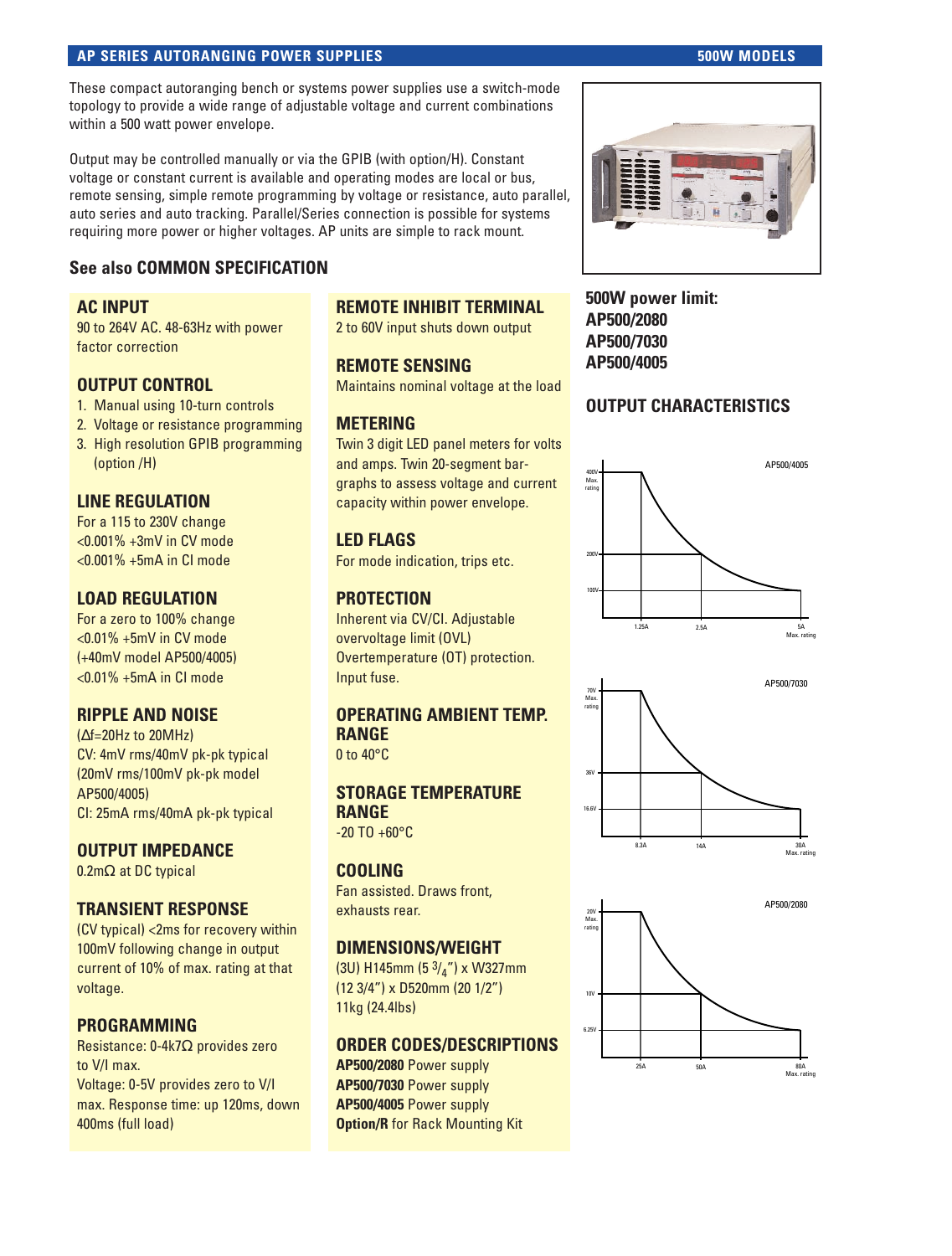#### **AP SERIES AUTORANGING POWER SUPPLIES AUTORANGING POWER SUPPLIES**

These compact autoranging bench or systems power supplies use a switch-mode topology to provide a wide range of adjustable voltage and current combinations within a 500 watt power envelope.

Output may be controlled manually or via the GPIB (with option/H). Constant voltage or constant current is available and operating modes are local or bus, remote sensing, simple remote programming by voltage or resistance, auto parallel, auto series and auto tracking. Parallel/Series connection is possible for systems requiring more power or higher voltages. AP units are simple to rack mount.

# **See also COMMON SPECIFICATION**

# **AC INPUT**

90 to 264V AC. 48-63Hz with power factor correction

# **OUTPUT CONTROL**

- 1. Manual using 10-turn controls
- 2. Voltage or resistance programming
- 3. High resolution GPIB programming (option /H)

# **LINE REGULATION**

For a 115 to 230V change <0.001% +3mV in CV mode <0.001% +5mA in CI mode

#### **LOAD REGULATION**

For a zero to 100% change <0.01% +5mV in CV mode (+40mV model AP500/4005) <0.01% +5mA in CI mode

#### **RIPPLE AND NOISE**

(∆f=20Hz to 20MHz) CV: 4mV rms/40mV pk-pk typical (20mV rms/100mV pk-pk model AP500/4005) CI: 25mA rms/40mA pk-pk typical

#### **OUTPUT IMPEDANCE**

0.2mΩ at DC typical

# **TRANSIENT RESPONSE**

(CV typical) <2ms for recovery within 100mV following change in output current of 10% of max. rating at that voltage.

#### **PROGRAMMING**

Resistance: 0-4k7Ω provides zero to V/I max. Voltage: 0-5V provides zero to V/I max. Response time: up 120ms, down 400ms (full load)

# **REMOTE INHIBIT TERMINAL**

2 to 60V input shuts down output

#### **REMOTE SENSING**

Maintains nominal voltage at the load

# **METERING**

Twin 3 digit LED panel meters for volts and amps. Twin 20-segment bargraphs to assess voltage and current capacity within power envelope.

# **LED FLAGS**

For mode indication, trips etc.

# **PROTECTION**

Inherent via CV/CI. Adjustable overvoltage limit (OVL) Overtemperature (OT) protection. Input fuse.

# **OPERATING AMBIENT TEMP. RANGE**

0 to 40°C

#### **STORAGE TEMPERATURE RANGE**

 $-20$  TO  $+60$ °C

#### **COOLING**

Fan assisted. Draws front, exhausts rear.

# **DIMENSIONS/WEIGHT**

(3U) H145mm (5 $3/4$ ") x W327mm (12 3/4") x D520mm (20 1/2") 11kg (24.4lbs)

#### **ORDER CODES/DESCRIPTIONS**

**AP500/2080** Power supply **AP500/7030** Power supply **AP500/4005** Power supply **Option/R** for Rack Mounting Kit



**500W power limit: AP500/2080 AP500/7030 AP500/4005**

# **OUTPUT CHARACTERISTICS**





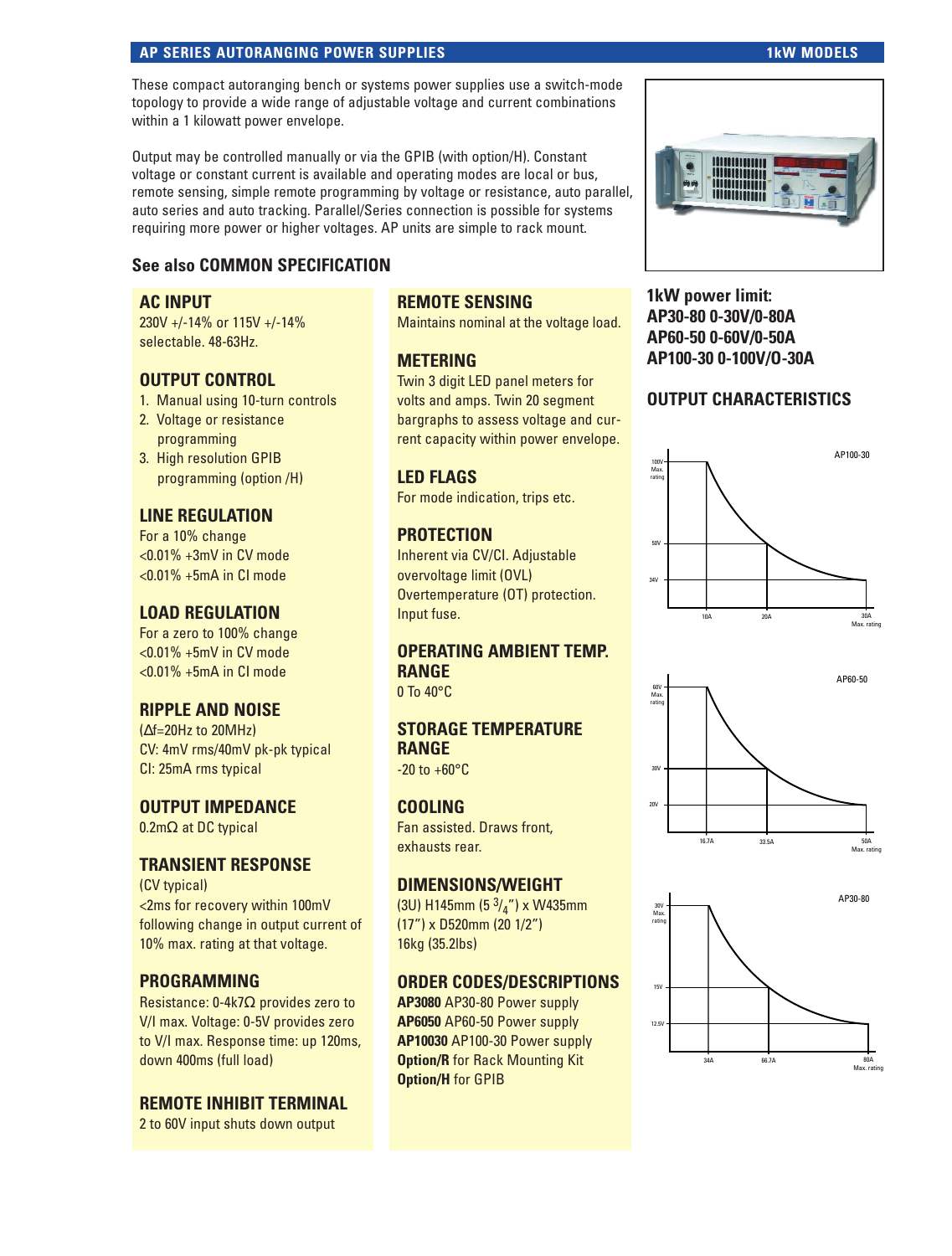#### **AP SERIES AUTORANGING POWER SUPPLIES 1kW MODELS** 1kW MODELS

#### These compact autoranging bench or systems power supplies use a switch-mode topology to provide a wide range of adjustable voltage and current combinations within a 1 kilowatt power envelope.

Output may be controlled manually or via the GPIB (with option/H). Constant voltage or constant current is available and operating modes are local or bus, remote sensing, simple remote programming by voltage or resistance, auto parallel, auto series and auto tracking. Parallel/Series connection is possible for systems requiring more power or higher voltages. AP units are simple to rack mount.

# **See also COMMON SPECIFICATION**

#### **AC INPUT**

230V +/-14% or 115V +/-14% selectable. 48-63Hz.

# **OUTPUT CONTROL**

- 1. Manual using 10-turn controls
- 2. Voltage or resistance programming
- 3. High resolution GPIB programming (option /H)

# **LINE REGULATION**

For a 10% change <0.01% +3mV in CV mode  $< 0.01\% + 5mA$  in CI mode

# **LOAD REGULATION**

For a zero to 100% change <0.01% +5mV in CV mode  $< 0.01\% + 5mA$  in CI mode

# **RIPPLE AND NOISE**

(∆f=20Hz to 20MHz) CV: 4mV rms/40mV pk-pk typical CI: 25mA rms typical

# **OUTPUT IMPEDANCE**

0.2mΩ at DC typical

# **TRANSIENT RESPONSE**

(CV typical) <2ms for recovery within 100mV following change in output current of 10% max. rating at that voltage.

# **PROGRAMMING**

Resistance: 0-4k7Ω provides zero to V/I max. Voltage: 0-5V provides zero to V/I max. Response time: up 120ms, down 400ms (full load)

#### **REMOTE INHIBIT TERMINAL**

2 to 60V input shuts down output

# **REMOTE SENSING**

Maintains nominal at the voltage load.

#### **METERING**

Twin 3 digit LED panel meters for volts and amps. Twin 20 segment bargraphs to assess voltage and current capacity within power envelope.

# **LED FLAGS**

For mode indication, trips etc.

# **PROTECTION**

Inherent via CV/CI. Adjustable overvoltage limit (OVL) Overtemperature (OT) protection. Input fuse.

# **OPERATING AMBIENT TEMP. RANGE**

0 To 40°C

# **STORAGE TEMPERATURE RANGE**

 $-20$  to  $+60^{\circ}$ C

# **COOLING**

Fan assisted. Draws front, exhausts rear.

# **DIMENSIONS/WEIGHT**

(3U) H145mm (5 $3/4$ ") x W435mm (17") x D520mm (20 1/2") 16kg (35.2lbs)

# **ORDER CODES/DESCRIPTIONS**

**AP3080** AP30-80 Power supply **AP6050** AP60-50 Power supply **AP10030** AP100-30 Power supply **Option/R** for Rack Mounting Kit **Option/H** for GPIB



**1kW power limit: AP30-80 0-30V/0-80A AP60-50 0-60V/0-50A AP100-30 0-100V/O-30A**

# **OUTPUT CHARACTERISTICS**





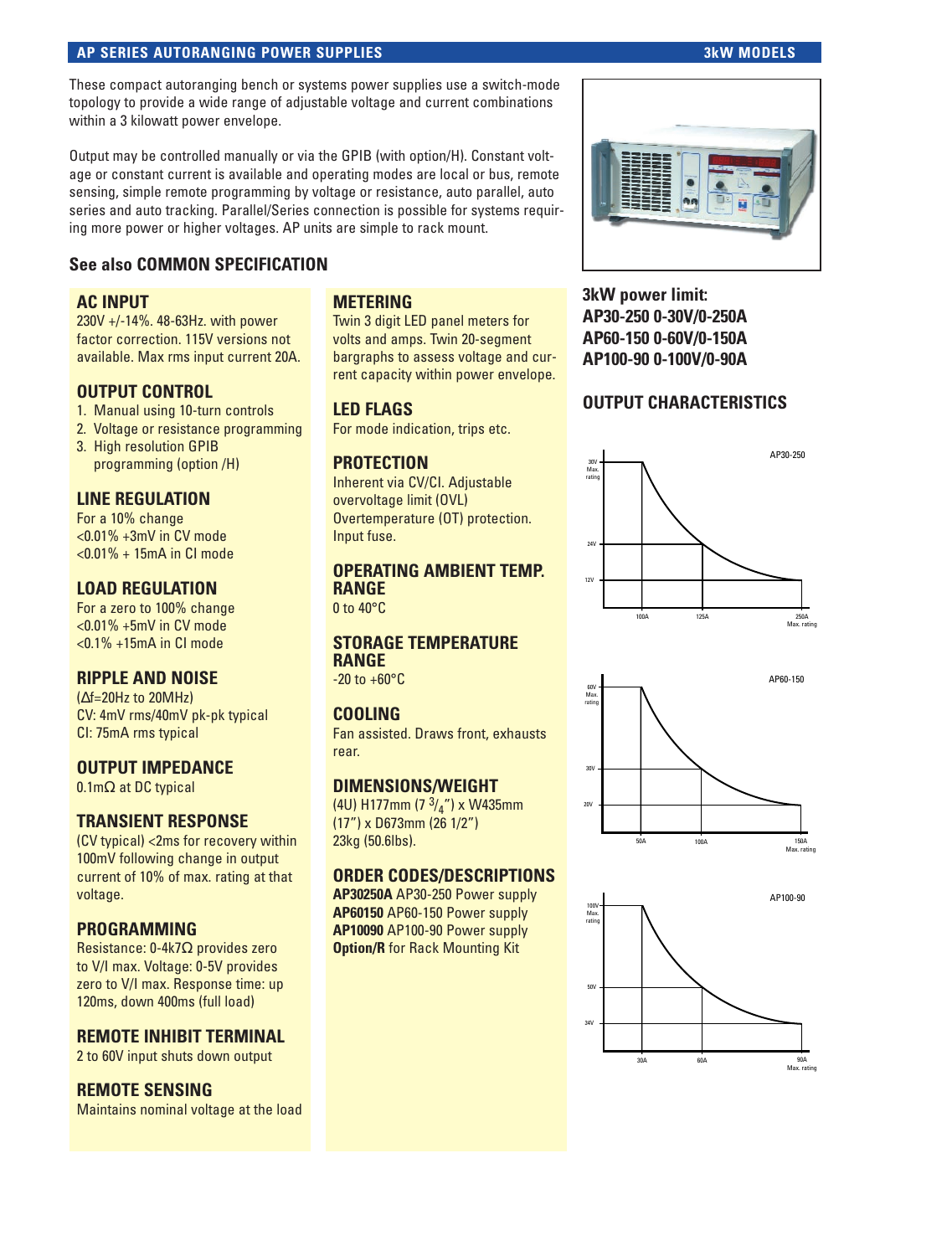#### **AP SERIES AUTORANGING POWER SUPPLIES 3kW MODELS**

These compact autoranging bench or systems power supplies use a switch-mode topology to provide a wide range of adjustable voltage and current combinations within a 3 kilowatt power envelope.

Output may be controlled manually or via the GPIB (with option/H). Constant voltage or constant current is available and operating modes are local or bus, remote sensing, simple remote programming by voltage or resistance, auto parallel, auto series and auto tracking. Parallel/Series connection is possible for systems requiring more power or higher voltages. AP units are simple to rack mount.

# **See also COMMON SPECIFICATION**

#### **AC INPUT**

230V +/-14%. 48-63Hz. with power factor correction. 115V versions not available. Max rms input current 20A.

#### **OUTPUT CONTROL**

- 1. Manual using 10-turn controls
- 2. Voltage or resistance programming
- 3. High resolution GPIB programming (option /H)

# **LINE REGULATION**

For a 10% change <0.01% +3mV in CV mode <0.01% + 15mA in CI mode

# **LOAD REGULATION**

For a zero to 100% change <0.01% +5mV in CV mode <0.1% +15mA in CI mode

#### **RIPPLE AND NOISE**

(∆f=20Hz to 20MHz) CV: 4mV rms/40mV pk-pk typical CI: 75mA rms typical

#### **OUTPUT IMPEDANCE**

0.1mΩ at DC typical

# **TRANSIENT RESPONSE**

(CV typical) <2ms for recovery within 100mV following change in output current of 10% of max. rating at that voltage.

#### **PROGRAMMING**

Resistance: 0-4k7Ω provides zero to V/I max. Voltage: 0-5V provides zero to V/I max. Response time: up 120ms, down 400ms (full load)

# **REMOTE INHIBIT TERMINAL**

2 to 60V input shuts down output

# **REMOTE SENSING**

Maintains nominal voltage at the load

#### **METERING**

Twin 3 digit LED panel meters for volts and amps. Twin 20-segment bargraphs to assess voltage and current capacity within power envelope.

# **LED FLAGS**

For mode indication, trips etc.

# **PROTECTION**

Inherent via CV/CI. Adjustable overvoltage limit (OVL) Overtemperature (OT) protection. Input fuse.

#### **OPERATING AMBIENT TEMP. RANGE**

0 to 40°C

#### **STORAGE TEMPERATURE RANGE**

 $-20$  to  $+60^{\circ}$ C

#### **COOLING**

Fan assisted. Draws front, exhausts rear.

# **DIMENSIONS/WEIGHT**

(4U) H177mm (7 $3/4$ ") x W435mm (17") x D673mm (26 1/2") 23kg (50.6lbs).

#### **ORDER CODES/DESCRIPTIONS**

**AP30250A** AP30-250 Power supply **AP60150** AP60-150 Power supply **AP10090** AP100-90 Power supply **Option/R** for Rack Mounting Kit



**3kW power limit: AP30-250 0-30V/0-250A AP60-150 0-60V/0-150A AP100-90 0-100V/0-90A**

# **OUTPUT CHARACTERISTICS**